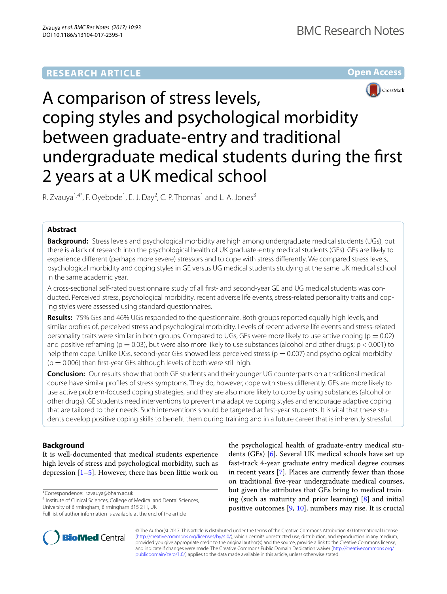# **RESEARCH ARTICLE**





# A comparison of stress levels, coping styles and psychological morbidity between graduate-entry and traditional undergraduate medical students during the first 2 years at a UK medical school

R. Zvauya<sup>1,4\*</sup>, F. Oyebode<sup>1</sup>, E. J. Day<sup>2</sup>, C. P. Thomas<sup>1</sup> and L. A. Jones<sup>3</sup>

# **Abstract**

**Background:** Stress levels and psychological morbidity are high among undergraduate medical students (UGs), but there is a lack of research into the psychological health of UK graduate-entry medical students (GEs). GEs are likely to experience different (perhaps more severe) stressors and to cope with stress differently. We compared stress levels, psychological morbidity and coping styles in GE versus UG medical students studying at the same UK medical school in the same academic year.

A cross-sectional self-rated questionnaire study of all first- and second-year GE and UG medical students was conducted. Perceived stress, psychological morbidity, recent adverse life events, stress-related personality traits and coping styles were assessed using standard questionnaires.

**Results:** 75% GEs and 46% UGs responded to the questionnaire. Both groups reported equally high levels, and similar profiles of, perceived stress and psychological morbidity. Levels of recent adverse life events and stress-related personality traits were similar in both groups. Compared to UGs, GEs were more likely to use active coping ( $p = 0.02$ ) and positive reframing ( $p = 0.03$ ), but were also more likely to use substances (alcohol and other drugs;  $p < 0.001$ ) to help them cope. Unlike UGs, second-year GEs showed less perceived stress ( $p = 0.007$ ) and psychological morbidity  $(p = 0.006)$  than first-year GEs although levels of both were still high.

**Conclusion:** Our results show that both GE students and their younger UG counterparts on a traditional medical course have similar profiles of stress symptoms. They do, however, cope with stress differently. GEs are more likely to use active problem-focused coping strategies, and they are also more likely to cope by using substances (alcohol or other drugs). GE students need interventions to prevent maladaptive coping styles and encourage adaptive coping that are tailored to their needs. Such interventions should be targeted at first-year students. It is vital that these students develop positive coping skills to benefit them during training and in a future career that is inherently stressful.

# **Background**

It is well-documented that medical students experience high levels of stress and psychological morbidity, such as depression  $[1–5]$  $[1–5]$  $[1–5]$  $[1–5]$ . However, there has been little work on

\*Correspondence: r.zvauya@bham.ac.uk

<sup>4</sup> Institute of Clinical Sciences, College of Medical and Dental Sciences, University of Birmingham, Birmingham B15 2TT, UK



© The Author(s) 2017. This article is distributed under the terms of the Creative Commons Attribution 4.0 International License [\(http://creativecommons.org/licenses/by/4.0/\)](http://creativecommons.org/licenses/by/4.0/), which permits unrestricted use, distribution, and reproduction in any medium, provided you give appropriate credit to the original author(s) and the source, provide a link to the Creative Commons license, and indicate if changes were made. The Creative Commons Public Domain Dedication waiver ([http://creativecommons.org/](http://creativecommons.org/publicdomain/zero/1.0/) [publicdomain/zero/1.0/](http://creativecommons.org/publicdomain/zero/1.0/)) applies to the data made available in this article, unless otherwise stated.



Full list of author information is available at the end of the article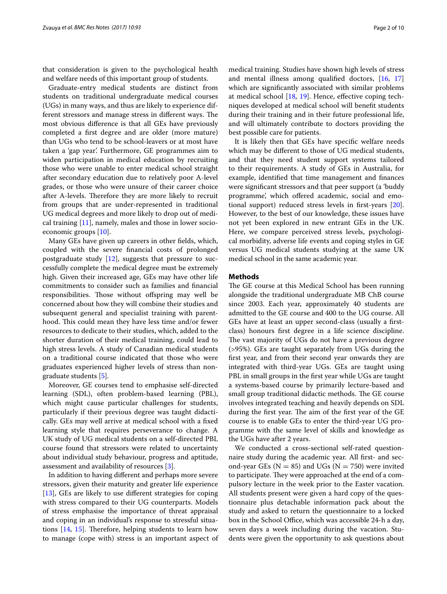that consideration is given to the psychological health and welfare needs of this important group of students.

Graduate-entry medical students are distinct from students on traditional undergraduate medical courses (UGs) in many ways, and thus are likely to experience different stressors and manage stress in different ways. The most obvious difference is that all GEs have previously completed a first degree and are older (more mature) than UGs who tend to be school-leavers or at most have taken a 'gap year'. Furthermore, GE programmes aim to widen participation in medical education by recruiting those who were unable to enter medical school straight after secondary education due to relatively poor A-level grades, or those who were unsure of their career choice after A-levels. Therefore they are more likely to recruit from groups that are under-represented in traditional UG medical degrees and more likely to drop out of medical training [[11\]](#page-9-5), namely, males and those in lower socioeconomic groups [[10](#page-9-4)].

Many GEs have given up careers in other fields, which, coupled with the severe financial costs of prolonged postgraduate study  $[12]$  $[12]$ , suggests that pressure to successfully complete the medical degree must be extremely high. Given their increased age, GEs may have other life commitments to consider such as families and financial responsibilities. Those without offspring may well be concerned about how they will combine their studies and subsequent general and specialist training with parenthood. This could mean they have less time and/or fewer resources to dedicate to their studies, which, added to the shorter duration of their medical training, could lead to high stress levels. A study of Canadian medical students on a traditional course indicated that those who were graduates experienced higher levels of stress than nongraduate students [[5\]](#page-8-1).

Moreover, GE courses tend to emphasise self-directed learning (SDL), often problem-based learning (PBL), which might cause particular challenges for students, particularly if their previous degree was taught didactically. GEs may well arrive at medical school with a fixed learning style that requires perseverance to change. A UK study of UG medical students on a self-directed PBL course found that stressors were related to uncertainty about individual study behaviour, progress and aptitude, assessment and availability of resources [\[3\]](#page-8-2).

In addition to having different and perhaps more severe stressors, given their maturity and greater life experience [[13\]](#page-9-7), GEs are likely to use different strategies for coping with stress compared to their UG counterparts. Models of stress emphasise the importance of threat appraisal and coping in an individual's response to stressful situations [[14,](#page-9-8) [15](#page-9-9)]. Therefore, helping students to learn how to manage (cope with) stress is an important aspect of medical training. Studies have shown high levels of stress and mental illness among qualified doctors, [[16,](#page-9-10) [17](#page-9-11)] which are significantly associated with similar problems at medical school [\[18,](#page-9-12) [19](#page-9-13)]. Hence, effective coping techniques developed at medical school will benefit students during their training and in their future professional life, and will ultimately contribute to doctors providing the best possible care for patients.

It is likely then that GEs have specific welfare needs which may be different to those of UG medical students, and that they need student support systems tailored to their requirements. A study of GEs in Australia, for example, identified that time management and finances were significant stressors and that peer support (a 'buddy programme', which offered academic, social and emotional support) reduced stress levels in first-years [\[20](#page-9-14)]. However, to the best of our knowledge, these issues have not yet been explored in new entrant GEs in the UK. Here, we compare perceived stress levels, psychological morbidity, adverse life events and coping styles in GE versus UG medical students studying at the same UK medical school in the same academic year.

### **Methods**

The GE course at this Medical School has been running alongside the traditional undergraduate MB ChB course since 2003. Each year, approximately 40 students are admitted to the GE course and 400 to the UG course. All GEs have at least an upper second-class (usually a firstclass) honours first degree in a life science discipline. The vast majority of UGs do not have a previous degree (>95%). GEs are taught separately from UGs during the first year, and from their second year onwards they are integrated with third-year UGs. GEs are taught using PBL in small groups in the first year while UGs are taught a systems-based course by primarily lecture-based and small group traditional didactic methods. The GE course involves integrated teaching and heavily depends on SDL during the first year. The aim of the first year of the GE course is to enable GEs to enter the third-year UG programme with the same level of skills and knowledge as the UGs have after 2 years.

We conducted a cross-sectional self-rated questionnaire study during the academic year. All first- and second-year GEs ( $N = 85$ ) and UGs ( $N = 750$ ) were invited to participate. They were approached at the end of a compulsory lecture in the week prior to the Easter vacation. All students present were given a hard copy of the questionnaire plus detachable information pack about the study and asked to return the questionnaire to a locked box in the School Office, which was accessible 24-h a day, seven days a week including during the vacation. Students were given the opportunity to ask questions about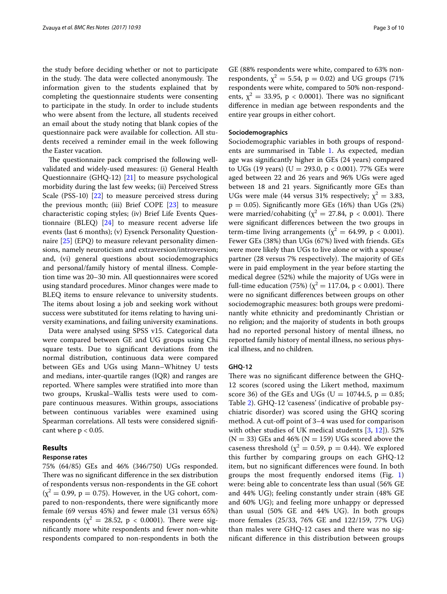the study before deciding whether or not to participate in the study. The data were collected anonymously. The information given to the students explained that by completing the questionnaire students were consenting to participate in the study. In order to include students who were absent from the lecture, all students received an email about the study noting that blank copies of the questionnaire pack were available for collection. All students received a reminder email in the week following the Easter vacation.

The questionnaire pack comprised the following wellvalidated and widely-used measures: (i) General Health Questionnaire (GHQ-12) [\[21](#page-9-15)] to measure psychological morbidity during the last few weeks; (ii) Perceived Stress Scale (PSS-10) [[22\]](#page-9-16) to measure perceived stress during the previous month; (iii) Brief COPE [\[23](#page-9-17)] to measure characteristic coping styles; (iv) Brief Life Events Questionnaire (BLEQ) [[24\]](#page-9-18) to measure recent adverse life events (last 6 months); (v) Eysenck Personality Questionnaire [\[25](#page-9-19)] (EPQ) to measure relevant personality dimensions, namely neuroticism and extraversion/introversion; and, (vi) general questions about sociodemographics and personal/family history of mental illness. Completion time was 20–30 min. All questionnaires were scored using standard procedures. Minor changes were made to BLEQ items to ensure relevance to university students. The items about losing a job and seeking work without success were substituted for items relating to having university examinations, and failing university examinations.

Data were analysed using SPSS v15. Categorical data were compared between GE and UG groups using Chi square tests. Due to significant deviations from the normal distribution, continuous data were compared between GEs and UGs using Mann–Whitney U tests and medians, inter-quartile ranges (IQR) and ranges are reported. Where samples were stratified into more than two groups, Kruskal–Wallis tests were used to compare continuous measures. Within groups, associations between continuous variables were examined using Spearman correlations. All tests were considered significant where  $p < 0.05$ .

# **Results**

### **Response rates**

75% (64/85) GEs and 46% (346/750) UGs responded. There was no significant difference in the sex distribution of respondents versus non-respondents in the GE cohort  $(\chi^2 = 0.99, p = 0.75)$ . However, in the UG cohort, compared to non-respondents, there were significantly more female (69 versus 45%) and fewer male (31 versus 65%) respondents ( $\chi^2 = 28.52$ , p < 0.0001). There were significantly more white respondents and fewer non-white respondents compared to non-respondents in both the

GE (88% respondents were white, compared to 63% nonrespondents,  $\chi^2 = 5.54$ ,  $p = 0.02$ ) and UG groups (71%) respondents were white, compared to 50% non-respondents,  $\chi^2 = 33.95$ , p < 0.0001). There was no significant difference in median age between respondents and the entire year groups in either cohort.

### **Sociodemographics**

Sociodemographic variables in both groups of respondents are summarised in Table [1](#page-3-0). As expected, median age was significantly higher in GEs (24 years) compared to UGs (19 years) (U = 293.0,  $p < 0.001$ ). 77% GEs were aged between 22 and 26 years and 96% UGs were aged between 18 and 21 years. Significantly more GEs than UGs were male (44 versus 31% respectively;  $\chi^2 = 3.83$ ,  $p = 0.05$ ). Significantly more GEs (16%) than UGs (2%) were married/cohabiting ( $\chi^2 = 27.84$ , p < 0.001). There were significant differences between the two groups in term-time living arrangements ( $\chi^2$  = 64.99, p < 0.001). Fewer GEs (38%) than UGs (67%) lived with friends. GEs were more likely than UGs to live alone or with a spouse/ partner (28 versus 7% respectively). The majority of GEs were in paid employment in the year before starting the medical degree (52%) while the majority of UGs were in full-time education (75%) ( $\chi^2 = 117.04$ , p < 0.001). There were no significant differences between groups on other sociodemographic measures: both groups were predominantly white ethnicity and predominantly Christian or no religion; and the majority of students in both groups had no reported personal history of mental illness, no reported family history of mental illness, no serious physical illness, and no children.

### **GHQ‑12**

There was no significant difference between the GHQ-12 scores (scored using the Likert method, maximum score 36) of the GEs and UGs (U = 10744.5,  $p = 0.85$ ; Table [2\)](#page-3-1). GHQ-12 'caseness' (indicative of probable psychiatric disorder) was scored using the GHQ scoring method. A cut-off point of 3–4 was used for comparison with other studies of UK medical students [[3,](#page-8-2) [12\]](#page-9-6)). 52%  $(N = 33)$  GEs and 46%  $(N = 159)$  UGs scored above the caseness threshold ( $\chi^2$  = 0.59, p = 0.44). We explored this further by comparing groups on each GHQ-12 item, but no significant differences were found. In both groups the most frequently endorsed items (Fig. [1](#page-3-2)) were: being able to concentrate less than usual (56% GE and 44% UG); feeling constantly under strain (48% GE and 60% UG); and feeling more unhappy or depressed than usual (50% GE and 44% UG). In both groups more females (25/33, 76% GE and 122/159, 77% UG) than males were GHQ-12 cases and there was no significant difference in this distribution between groups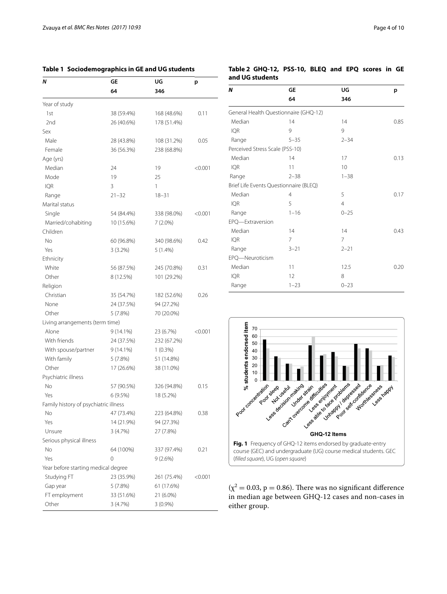<span id="page-3-0"></span>

| Table 1 Sociodemographics in GE and UG students |
|-------------------------------------------------|
|-------------------------------------------------|

| Ν                                     | GE          | UG          | р       |
|---------------------------------------|-------------|-------------|---------|
|                                       | 64          | 346         |         |
| Year of study                         |             |             |         |
| 1st                                   | 38 (59.4%)  | 168 (48.6%) | 0.11    |
| 2nd                                   | 26 (40.6%)  | 178 (51.4%) |         |
| Sex                                   |             |             |         |
| Male                                  | 28 (43.8%)  | 108 (31.2%) | 0.05    |
| Female                                | 36 (56.3%)  | 238 (68.8%) |         |
| Age (yrs)                             |             |             |         |
| Median                                | 24          | 19          | < 0.001 |
| Mode                                  | 19          | 25          |         |
| <b>IQR</b>                            | 3           | 1           |         |
| Range                                 | $21 - 32$   | $18 - 31$   |         |
| Marital status                        |             |             |         |
| Single                                | 54 (84.4%)  | 338 (98.0%) | < 0.001 |
| Married/cohabiting                    | 10 (15.6%)  | $7(2.0\%)$  |         |
| Children                              |             |             |         |
| No                                    | 60 (96.8%)  | 340 (98.6%) | 0.42    |
| Yes                                   | $3(3.2\%)$  | $5(1.4\%)$  |         |
| Ethnicity                             |             |             |         |
| White                                 | 56 (87.5%)  | 245 (70.8%) | 0.31    |
| Other                                 | 8 (12.5%)   | 101 (29.2%) |         |
| Religion                              |             |             |         |
| Christian                             | 35 (54.7%)  | 182 (52.6%) | 0.26    |
| None                                  | 24 (37.5%)  | 94 (27.2%)  |         |
| Other                                 | 5(7.8%)     | 70 (20.0%)  |         |
| Living arrangements (term time)       |             |             |         |
| Alone                                 | $9(14.1\%)$ | 23 (6.7%)   | < 0.001 |
| With friends                          | 24 (37.5%)  | 232 (67.2%) |         |
| With spouse/partner                   | $9(14.1\%)$ | $1(0.3\%)$  |         |
| With family                           | 5(7.8%)     | 51 (14.8%)  |         |
| Other                                 | 17 (26.6%)  | 38 (11.0%)  |         |
| Psychiatric illness                   |             |             |         |
| No                                    | 57 (90.5%)  | 326 (94.8%) | 0.15    |
| Yes                                   | 6(9.5%)     | 18 (5.2%)   |         |
| Family history of psychiatric illness |             |             |         |
| No                                    | 47 (73.4%)  | 223 (64.8%) | 0.38    |
| Yes                                   | 14 (21.9%)  | 94 (27.3%)  |         |
| Unsure                                | 3(4.7%)     | 27 (7.8%)   |         |
| Serious physical illness              |             |             |         |
| No                                    | 64 (100%)   | 337 (97.4%) | 0.21    |
| Yes                                   | 0           | 9(2.6%)     |         |
| Year before starting medical degree   |             |             |         |
| Studying FT                           | 23 (35.9%)  | 261 (75.4%) | < 0.001 |
| Gap year                              | 5(7.8%)     | 61 (17.6%)  |         |
| FT employment                         | 33 (51.6%)  | 21 (6.0%)   |         |
| Other                                 | 3(4.7%)     | $3(0.9\%)$  |         |

# <span id="page-3-1"></span>**Table 2 GHQ-12, PSS-10, BLEQ and EPQ scores in GE and UG students**

| N                               | GE                                     | UG             | p    |
|---------------------------------|----------------------------------------|----------------|------|
|                                 | 64                                     | 346            |      |
|                                 | General Health Questionnaire (GHQ-12)  |                |      |
| Median                          | 14                                     | 14             | 0.85 |
| <b>IQR</b>                      | 9                                      | 9              |      |
| Range                           | $5 - 35$                               | $2 - 34$       |      |
| Perceived Stress Scale (PSS-10) |                                        |                |      |
| Median                          | 14                                     | 17             | 0.13 |
| IQR                             | 11                                     | 10             |      |
| Range                           | $2 - 38$                               | $1 - 38$       |      |
|                                 | Brief Life Events Questionnaire (BLEQ) |                |      |
| Median                          | $\overline{4}$                         | 5              | 0.17 |
| <b>IQR</b>                      | 5                                      | $\overline{4}$ |      |
| Range                           | $1 - 16$                               | $0 - 25$       |      |
| EPQ-Extraversion                |                                        |                |      |
| Median                          | 14                                     | 14             | 0.43 |
| <b>IQR</b>                      | 7                                      | 7              |      |
| Range                           | $3 - 21$                               | $2 - 21$       |      |
| EPQ-Neuroticism                 |                                        |                |      |
| Median                          | 11                                     | 12.5           | 0.20 |
| <b>IQR</b>                      | 12                                     | 8              |      |
| Range                           | $1 - 23$                               | $0 - 23$       |      |
|                                 |                                        |                |      |



<span id="page-3-2"></span> $(\chi^2 = 0.03, p = 0.86)$ . There was no significant difference in median age between GHQ-12 cases and non-cases in either group.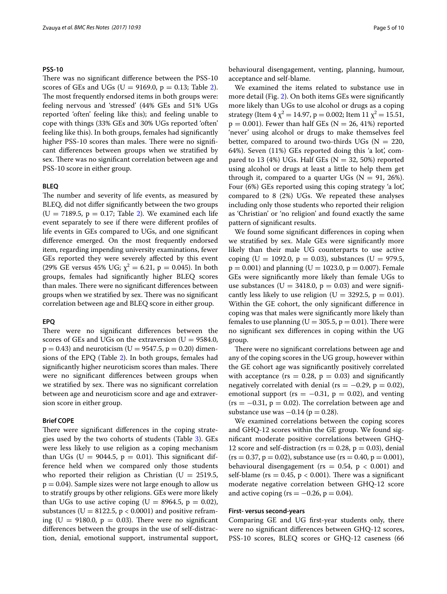# **PSS‑10**

There was no significant difference between the PSS-10 scores of GEs and UGs ( $U = 9169.0$ ,  $p = 0.13$ ; Table [2](#page-3-1)). The most frequently endorsed items in both groups were: feeling nervous and 'stressed' (44% GEs and 51% UGs reported 'often' feeling like this); and feeling unable to cope with things (33% GEs and 30% UGs reported 'often' feeling like this). In both groups, females had significantly higher PSS-10 scores than males. There were no significant differences between groups when we stratified by sex. There was no significant correlation between age and PSS-10 score in either group.

### **BLEQ**

The number and severity of life events, as measured by BLEQ, did not differ significantly between the two groups  $(U = 7189.5, p = 0.17;$  Table [2\)](#page-3-1). We examined each life event separately to see if there were different profiles of life events in GEs compared to UGs, and one significant difference emerged. On the most frequently endorsed item, regarding impending university examinations, fewer GEs reported they were severely affected by this event (29% GE versus 45% UG;  $\chi^2 = 6.21$ , p = 0.045). In both groups, females had significantly higher BLEQ scores than males. There were no significant differences between groups when we stratified by sex. There was no significant correlation between age and BLEQ score in either group.

### **EPQ**

There were no significant differences between the scores of GEs and UGs on the extraversion ( $U = 9584.0$ ,  $p = 0.43$ ) and neuroticism (U = 9547.5,  $p = 0.20$ ) dimensions of the EPQ (Table [2](#page-3-1)). In both groups, females had significantly higher neuroticism scores than males. There were no significant differences between groups when we stratified by sex. There was no significant correlation between age and neuroticism score and age and extraversion score in either group.

### **Brief COPE**

There were significant differences in the coping strategies used by the two cohorts of students (Table [3\)](#page-5-0). GEs were less likely to use religion as a coping mechanism than UGs (U =  $9044.5$ , p = 0.01). This significant difference held when we compared only those students who reported their religion as Christian ( $U = 2519.5$ ,  $p = 0.04$ ). Sample sizes were not large enough to allow us to stratify groups by other religions. GEs were more likely than UGs to use active coping (U =  $8964.5$ , p = 0.02), substances ( $U = 8122.5$ ,  $p < 0.0001$ ) and positive reframing ( $U = 9180.0$ ,  $p = 0.03$ ). There were no significant differences between the groups in the use of self-distraction, denial, emotional support, instrumental support,

behavioural disengagement, venting, planning, humour, acceptance and self-blame.

We examined the items related to substance use in more detail (Fig. [2\)](#page-5-1). On both items GEs were significantly more likely than UGs to use alcohol or drugs as a coping strategy (Item  $4 \chi^2 = 14.97$ , p = 0.002; Item  $11 \chi^2 = 15.51$ ,  $p = 0.001$ ). Fewer than half GEs (N = 26, 41%) reported 'never' using alcohol or drugs to make themselves feel better, compared to around two-thirds UGs ( $N = 220$ , 64%). Seven (11%) GEs reported doing this 'a lot', compared to 13 (4%) UGs. Half GEs ( $N = 32, 50\%$ ) reported using alcohol or drugs at least a little to help them get through it, compared to a quarter UGs ( $N = 91, 26\%$ ). Four (6%) GEs reported using this coping strategy 'a lot', compared to 8 (2%) UGs. We repeated these analyses including only those students who reported their religion as 'Christian' or 'no religion' and found exactly the same pattern of significant results.

We found some significant differences in coping when we stratified by sex. Male GEs were significantly more likely than their male UG counterparts to use active coping (U = 1092.0, p = 0.03), substances (U = 979.5,  $p = 0.001$ ) and planning (U = 1023.0, p = 0.007). Female GEs were significantly more likely than female UGs to use substances ( $U = 3418.0$ ,  $p = 0.03$ ) and were significantly less likely to use religion ( $U = 3292.5$ ,  $p = 0.01$ ). Within the GE cohort, the only significant difference in coping was that males were significantly more likely than females to use planning ( $U = 305.5$ ,  $p = 0.01$ ). There were no significant sex differences in coping within the UG group.

There were no significant correlations between age and any of the coping scores in the UG group, however within the GE cohort age was significantly positively correlated with acceptance (rs =  $0.28$ , p = 0.03) and significantly negatively correlated with denial (rs =  $-0.29$ , p = 0.02), emotional support (rs =  $-0.31$ , p = 0.02), and venting  $(rs = -0.31, p = 0.02)$ . The correlation between age and substance use was  $-0.14$  (p = 0.28).

We examined correlations between the coping scores and GHQ-12 scores within the GE group. We found significant moderate positive correlations between GHQ-12 score and self-distraction ( $rs = 0.28$ ,  $p = 0.03$ ), denial  $(rs = 0.37, p = 0.02)$ , substance use  $(rs = 0.40, p = 0.001)$ , behavioural disengagement ( $rs = 0.54$ ,  $p < 0.001$ ) and self-blame ( $rs = 0.45$ ,  $p < 0.001$ ). There was a significant moderate negative correlation between GHQ-12 score and active coping ( $rs = -0.26$ ,  $p = 0.04$ ).

### **First‑ versus second‑years**

Comparing GE and UG first-year students only, there were no significant differences between GHQ-12 scores, PSS-10 scores, BLEQ scores or GHQ-12 caseness (66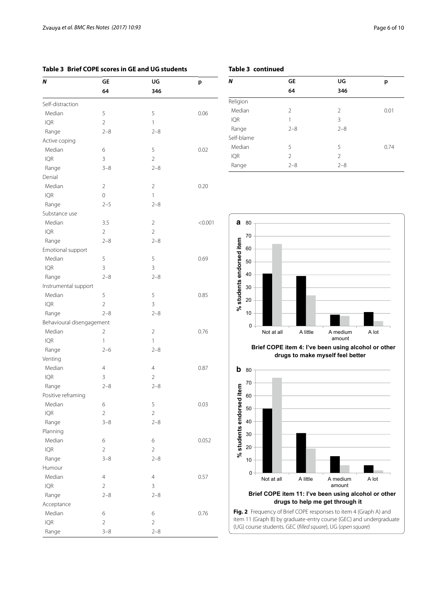Planning

Humour

Acceptance

# <span id="page-5-0"></span>**Table 3 Brief COPE scores in GE and UG students**

| N                         | <b>GE</b>      | UG             | p       |
|---------------------------|----------------|----------------|---------|
|                           | 64             | 346            |         |
| Self-distraction          |                |                |         |
| Median                    | 5              | 5              | 0.06    |
| <b>IQR</b>                | $\overline{2}$ | 1              |         |
| Range                     | $2 - 8$        | $2 - 8$        |         |
| Active coping             |                |                |         |
| Median                    | 6              | 5              | 0.02    |
| <b>IQR</b>                | $\overline{3}$ | $\overline{2}$ |         |
| Range                     | $3 - 8$        | $2 - 8$        |         |
| Denial                    |                |                |         |
| Median                    | $\overline{2}$ | $\overline{2}$ | 0.20    |
| <b>IQR</b>                | $\overline{0}$ | 1              |         |
| Range                     | $2 - 5$        | $2 - 8$        |         |
| Substance use             |                |                |         |
| Median                    | 3.5            | $\overline{2}$ | < 0.001 |
| <b>IQR</b>                | $\mathfrak{D}$ | $\mathfrak{D}$ |         |
| Range                     | $2 - 8$        | $2 - 8$        |         |
| Emotional support         |                |                |         |
| Median                    | 5              | 5              | 0.69    |
| <b>IQR</b>                | $\overline{3}$ | $\overline{3}$ |         |
| Range                     | $2 - 8$        | $2 - 8$        |         |
| Instrumental support      |                |                |         |
| Median                    | 5              | 5              | 0.85    |
| <b>IQR</b>                | $\overline{2}$ | 3              |         |
| Range                     | $2 - 8$        | $2 - 8$        |         |
| Behavioural disengagement |                |                |         |
| Median                    | $\overline{2}$ | $\overline{2}$ | 0.76    |
| <b>IQR</b>                | 1              | 1              |         |
| Range                     | $2 - 6$        | $2 - 8$        |         |
| Venting                   |                |                |         |
| Median                    | $\overline{4}$ | $\overline{4}$ | 0.87    |
| <b>IQR</b>                | $\overline{3}$ | $\overline{2}$ |         |
| Range                     | $2 - 8$        | $2 - 8$        |         |
| Positive reframing        |                |                |         |
| Median                    | 6              | 5              | 0.03    |
| <b>IQR</b>                | $\overline{2}$ | $\overline{2}$ |         |
| Range                     | $3 - 8$        | $2 - 8$        |         |

Median 6 6 6 0.052

Median 4 4 0.57

Median 6 6 6 0.76

 $IQR$  2 2 Range 3–8 2–8

 $IQR$  2 3 Range 2–8 2–8

 $IQR$  2 2 Range 3–8 2–8

|   | Table 3 continued |    |
|---|-------------------|----|
| N |                   | GF |

| N          | GE             | UG             | р    |
|------------|----------------|----------------|------|
|            | 64             | 346            |      |
| Religion   |                |                |      |
| Median     | $\mathfrak{D}$ | 2              | 0.01 |
| <b>IQR</b> | 1              | 3              |      |
| Range      | $2 - 8$        | $2 - 8$        |      |
| Self-blame |                |                |      |
| Median     | 5              | 5              | 0.74 |
| <b>IQR</b> | $\mathfrak{D}$ | $\overline{2}$ |      |
| Range      | $2 - 8$        | $2 - 8$        |      |



**drugs to make myself feel better**



<span id="page-5-1"></span>**Fig. 2** Frequency of Brief COPE responses to item 4 (Graph A) and item 11 (Graph B) by graduate-entry course (GEC) and undergraduate (UG) course students. GEC (*filled square*), UG (*open square*)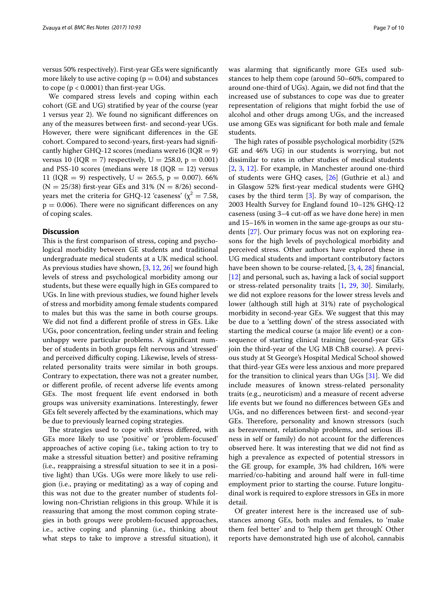versus 50% respectively). First-year GEs were significantly more likely to use active coping  $(p = 0.04)$  and substances to cope ( $p < 0.0001$ ) than first-year UGs.

We compared stress levels and coping within each cohort (GE and UG) stratified by year of the course (year 1 versus year 2). We found no significant differences on any of the measures between first- and second-year UGs. However, there were significant differences in the GE cohort. Compared to second-years, first-years had significantly higher GHQ-12 scores (medians were16 ( $IQR = 9$ ) versus 10 ( $IQR = 7$ ) respectively,  $U = 258.0$ ,  $p = 0.001$ ) and PSS-10 scores (medians were 18 ( $IQR = 12$ ) versus 11 (IQR = 9) respectively, U = 265.5, p = 0.007). 66%  $(N = 25/38)$  first-year GEs and 31%  $(N = 8/26)$  secondyears met the criteria for GHQ-12 'caseness' ( $\chi^2$  = 7.58,  $p = 0.006$ ). There were no significant differences on any of coping scales.

### **Discussion**

This is the first comparison of stress, coping and psychological morbidity between GE students and traditional undergraduate medical students at a UK medical school. As previous studies have shown, [\[3](#page-8-2), [12,](#page-9-6) [26\]](#page-9-20) we found high levels of stress and psychological morbidity among our students, but these were equally high in GEs compared to UGs. In line with previous studies, we found higher levels of stress and morbidity among female students compared to males but this was the same in both course groups. We did not find a different profile of stress in GEs. Like UGs, poor concentration, feeling under strain and feeling unhappy were particular problems. A significant number of students in both groups felt nervous and 'stressed' and perceived difficulty coping. Likewise, levels of stressrelated personality traits were similar in both groups. Contrary to expectation, there was not a greater number, or different profile, of recent adverse life events among GEs. The most frequent life event endorsed in both groups was university examinations. Interestingly, fewer GEs felt severely affected by the examinations, which may be due to previously learned coping strategies.

The strategies used to cope with stress differed, with GEs more likely to use 'positive' or 'problem-focused' approaches of active coping (i.e., taking action to try to make a stressful situation better) and positive reframing (i.e., reappraising a stressful situation to see it in a positive light) than UGs. UGs were more likely to use religion (i.e., praying or meditating) as a way of coping and this was not due to the greater number of students following non-Christian religions in this group. While it is reassuring that among the most common coping strategies in both groups were problem-focused approaches, i.e., active coping and planning (i.e., thinking about what steps to take to improve a stressful situation), it was alarming that significantly more GEs used substances to help them cope (around 50–60%, compared to around one-third of UGs). Again, we did not find that the increased use of substances to cope was due to greater representation of religions that might forbid the use of alcohol and other drugs among UGs, and the increased use among GEs was significant for both male and female students.

The high rates of possible psychological morbidity (52% GE and 46% UG) in our students is worrying, but not dissimilar to rates in other studies of medical students [[2,](#page-8-3) [3](#page-8-2), [12\]](#page-9-6). For example, in Manchester around one-third of students were GHQ cases, [[26\]](#page-9-20) (Guthrie et al.) and in Glasgow 52% first-year medical students were GHQ cases by the third term [[3\]](#page-8-2). By way of comparison, the 2003 Health Survey for England found 10–12% GHQ-12 caseness (using 3–4 cut-off as we have done here) in men and 15–16% in women in the same age-groups as our students [\[27\]](#page-9-21). Our primary focus was not on exploring reasons for the high levels of psychological morbidity and perceived stress. Other authors have explored these in UG medical students and important contributory factors have been shown to be course-related, [[3,](#page-8-2) [4](#page-8-4), [28\]](#page-9-22) financial, [[12\]](#page-9-6) and personal, such as, having a lack of social support or stress-related personality traits [\[1](#page-8-0), [29](#page-9-23), [30](#page-9-24)]. Similarly, we did not explore reasons for the lower stress levels and lower (although still high at 31%) rate of psychological morbidity in second-year GEs. We suggest that this may be due to a 'settling down' of the stress associated with starting the medical course (a major life event) or a consequence of starting clinical training (second-year GEs join the third-year of the UG MB ChB course). A previous study at St George's Hospital Medical School showed that third-year GEs were less anxious and more prepared for the transition to clinical years than UGs [[31\]](#page-9-25). We did include measures of known stress-related personality traits (e.g., neuroticism) and a measure of recent adverse life events but we found no differences between GEs and UGs, and no differences between first- and second-year GEs. Therefore, personality and known stressors (such as bereavement, relationship problems, and serious illness in self or family) do not account for the differences observed here. It was interesting that we did not find as high a prevalence as expected of potential stressors in the GE group, for example, 3% had children, 16% were married/co-habiting and around half were in full-time employment prior to starting the course. Future longitudinal work is required to explore stressors in GEs in more detail.

Of greater interest here is the increased use of substances among GEs, both males and females, to 'make them feel better' and to 'help them get through'. Other reports have demonstrated high use of alcohol, cannabis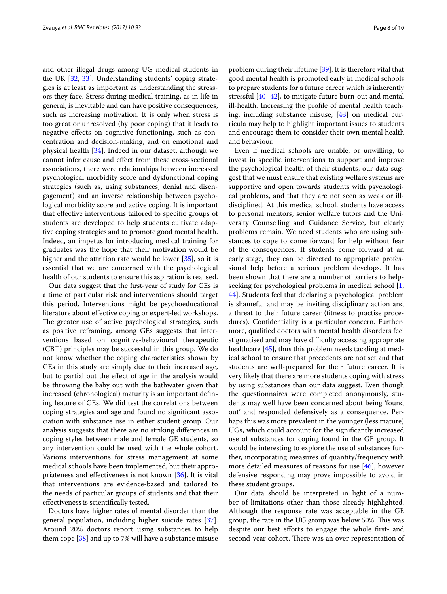and other illegal drugs among UG medical students in the UK [[32,](#page-9-26) [33](#page-9-27)]. Understanding students' coping strategies is at least as important as understanding the stressors they face. Stress during medical training, as in life in general, is inevitable and can have positive consequences, such as increasing motivation. It is only when stress is too great or unresolved (by poor coping) that it leads to negative effects on cognitive functioning, such as concentration and decision-making, and on emotional and physical health [\[34](#page-9-28)]. Indeed in our dataset, although we cannot infer cause and effect from these cross-sectional associations, there were relationships between increased psychological morbidity score and dysfunctional coping strategies (such as, using substances, denial and disengagement) and an inverse relationship between psychological morbidity score and active coping. It is important that effective interventions tailored to specific groups of students are developed to help students cultivate adaptive coping strategies and to promote good mental health. Indeed, an impetus for introducing medical training for graduates was the hope that their motivation would be higher and the attrition rate would be lower [\[35](#page-9-29)], so it is essential that we are concerned with the psychological health of our students to ensure this aspiration is realised.

Our data suggest that the first-year of study for GEs is a time of particular risk and interventions should target this period. Interventions might be psychoeducational literature about effective coping or expert-led workshops. The greater use of active psychological strategies, such as positive reframing, among GEs suggests that interventions based on cognitive-behavioural therapeutic (CBT) principles may be successful in this group. We do not know whether the coping characteristics shown by GEs in this study are simply due to their increased age, but to partial out the effect of age in the analysis would be throwing the baby out with the bathwater given that increased (chronological) maturity is an important defining feature of GEs. We did test the correlations between coping strategies and age and found no significant association with substance use in either student group. Our analysis suggests that there are no striking differences in coping styles between male and female GE students, so any intervention could be used with the whole cohort. Various interventions for stress management at some medical schools have been implemented, but their appropriateness and effectiveness is not known [\[36](#page-9-30)]. It is vital that interventions are evidence-based and tailored to the needs of particular groups of students and that their effectiveness is scientifically tested.

Doctors have higher rates of mental disorder than the general population, including higher suicide rates [\[37](#page-9-31)]. Around 20% doctors report using substances to help them cope [[38\]](#page-9-32) and up to 7% will have a substance misuse

problem during their lifetime [[39\]](#page-9-33). It is therefore vital that good mental health is promoted early in medical schools to prepare students for a future career which is inherently stressful [\[40](#page-9-34)[–42\]](#page-9-35), to mitigate future burn-out and mental ill-health. Increasing the profile of mental health teaching, including substance misuse, [\[43](#page-9-36)] on medical curricula may help to highlight important issues to students and encourage them to consider their own mental health and behaviour.

Even if medical schools are unable, or unwilling, to invest in specific interventions to support and improve the psychological health of their students, our data suggest that we must ensure that existing welfare systems are supportive and open towards students with psychological problems, and that they are not seen as weak or illdisciplined. At this medical school, students have access to personal mentors, senior welfare tutors and the University Counselling and Guidance Service, but clearly problems remain. We need students who are using substances to cope to come forward for help without fear of the consequences. If students come forward at an early stage, they can be directed to appropriate professional help before a serious problem develops. It has been shown that there are a number of barriers to helpseeking for psychological problems in medical school [\[1](#page-8-0), [44\]](#page-9-37). Students feel that declaring a psychological problem is shameful and may be inviting disciplinary action and a threat to their future career (fitness to practise procedures). Confidentiality is a particular concern. Furthermore, qualified doctors with mental health disorders feel stigmatised and may have difficulty accessing appropriate healthcare [\[45\]](#page-9-38), thus this problem needs tackling at medical school to ensure that precedents are not set and that students are well-prepared for their future career. It is very likely that there are more students coping with stress by using substances than our data suggest. Even though the questionnaires were completed anonymously, students may well have been concerned about being 'found out' and responded defensively as a consequence. Perhaps this was more prevalent in the younger (less mature) UGs, which could account for the significantly increased use of substances for coping found in the GE group. It would be interesting to explore the use of substances further, incorporating measures of quantity/frequency with more detailed measures of reasons for use [[46](#page-9-39)], however defensive responding may prove impossible to avoid in these student groups.

Our data should be interpreted in light of a number of limitations other than those already highlighted. Although the response rate was acceptable in the GE group, the rate in the UG group was below 50%. This was despite our best efforts to engage the whole first- and second-year cohort. There was an over-representation of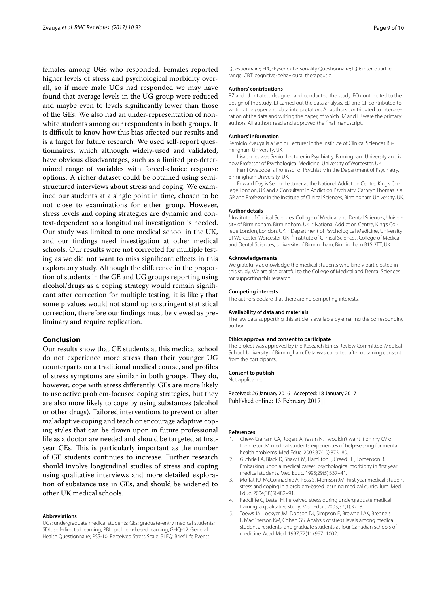females among UGs who responded. Females reported higher levels of stress and psychological morbidity overall, so if more male UGs had responded we may have found that average levels in the UG group were reduced and maybe even to levels significantly lower than those of the GEs. We also had an under-representation of nonwhite students among our respondents in both groups. It is difficult to know how this bias affected our results and is a target for future research. We used self-report questionnaires, which although widely-used and validated, have obvious disadvantages, such as a limited pre-determined range of variables with forced-choice response options. A richer dataset could be obtained using semistructured interviews about stress and coping. We examined our students at a single point in time, chosen to be not close to examinations for either group. However, stress levels and coping strategies are dynamic and context-dependent so a longitudinal investigation is needed. Our study was limited to one medical school in the UK, and our findings need investigation at other medical schools. Our results were not corrected for multiple testing as we did not want to miss significant effects in this exploratory study. Although the difference in the proportion of students in the GE and UG groups reporting using alcohol/drugs as a coping strategy would remain significant after correction for multiple testing, it is likely that some p values would not stand up to stringent statistical correction, therefore our findings must be viewed as preliminary and require replication.

# **Conclusion**

Our results show that GE students at this medical school do not experience more stress than their younger UG counterparts on a traditional medical course, and profiles of stress symptoms are similar in both groups. They do, however, cope with stress differently. GEs are more likely to use active problem-focused coping strategies, but they are also more likely to cope by using substances (alcohol or other drugs). Tailored interventions to prevent or alter maladaptive coping and teach or encourage adaptive coping styles that can be drawn upon in future professional life as a doctor are needed and should be targeted at firstyear GEs. This is particularly important as the number of GE students continues to increase. Further research should involve longitudinal studies of stress and coping using qualitative interviews and more detailed exploration of substance use in GEs, and should be widened to other UK medical schools.

### **Abbreviations**

UGs: undergraduate medical students; GEs: graduate-entry medical students; SDL: self-directed learning; PBL: problem-based learning; GHQ-12: General Health Questionnaire; PSS-10: Perceived Stress Scale; BLEQ: Brief Life Events

Questionnaire; EPQ: Eysenck Personality Questionnaire; IQR: inter-quartile range; CBT: cognitive-behavioural therapeutic.

### **Authors' contributions**

RZ and LJ initiated, designed and conducted the study. FO contributed to the design of the study. LJ carried out the data analysis. ED and CP contributed to writing the paper and data interpretation. All authors contributed to interpretation of the data and writing the paper, of which RZ and LJ were the primary authors. All authors read and approved the final manuscript.

### **Authors' information**

Remigio Zvauya is a Senior Lecturer in the Institute of Clinical Sciences Birmingham University, UK.

Lisa Jones was Senior Lecturer in Psychiatry, Birmingham University and is now Professor of Psychological Medicine, University of Worcester, UK.

Femi Oyebode is Professor of Psychiatry in the Department of Psychiatry, Birmingham University, UK.

Edward Day is Senior Lecturer at the National Addiction Centre, King's College London, UK and a Consultant in Addiction Psychiatry, Cathryn Thomas is a GP and Professor in the Institute of Clinical Sciences, Birmingham University, UK.

#### **Author details**

<sup>1</sup> Institute of Clinical Sciences, College of Medical and Dental Sciences, University of Birmingham, Birmingham, UK.<sup>2</sup> National Addiction Centre, King's College London, London, UK.<sup>3</sup> Department of Psychological Medicine, University of Worcester, Worcester, UK. 4 Institute of Clinical Sciences, College of Medical and Dental Sciences, University of Birmingham, Birmingham B15 2TT, UK.

#### **Acknowledgements**

We gratefully acknowledge the medical students who kindly participated in this study. We are also grateful to the College of Medical and Dental Sciences for supporting this research.

#### **Competing interests**

The authors declare that there are no competing interests.

### **Availability of data and materials**

The raw data supporting this article is available by emailing the corresponding author.

### **Ethics approval and consent to participate**

The project was approved by the Research Ethics Review Committee, Medical School, University of Birmingham. Data was collected after obtaining consent from the participants.

### **Consent to publish**

Not applicable.

Received: 26 January 2016 Accepted: 18 January 2017 Published online: 13 February 2017

#### **References**

- <span id="page-8-0"></span>1. Chew-Graham CA, Rogers A, Yassin N. 'I wouldn't want it on my CV or their records': medical students' experiences of help-seeking for mental health problems. Med Educ. 2003;37(10):873–80.
- <span id="page-8-3"></span>2. Guthrie EA, Black D, Shaw CM, Hamilton J, Creed FH, Tomenson B. Embarking upon a medical career: psychological morbidity in first year medical students. Med Educ. 1995;29(5):337–41.
- <span id="page-8-2"></span>3. Moffat KJ, McConnachie A, Ross S, Morrison JM. First year medical student stress and coping in a problem-based learning medical curriculum. Med Educ. 2004;38(5):482–91.
- <span id="page-8-4"></span>4. Radcliffe C, Lester H. Perceived stress during undergraduate medical training: a qualitative study. Med Educ. 2003;37(1):32–8.
- <span id="page-8-1"></span>5. Toews JA, Lockyer JM, Dobson DJ, Simpson E, Brownell AK, Brenneis F, MacPherson KM, Cohen GS. Analysis of stress levels among medical students, residents, and graduate students at four Canadian schools of medicine. Acad Med. 1997;72(11):997–1002.